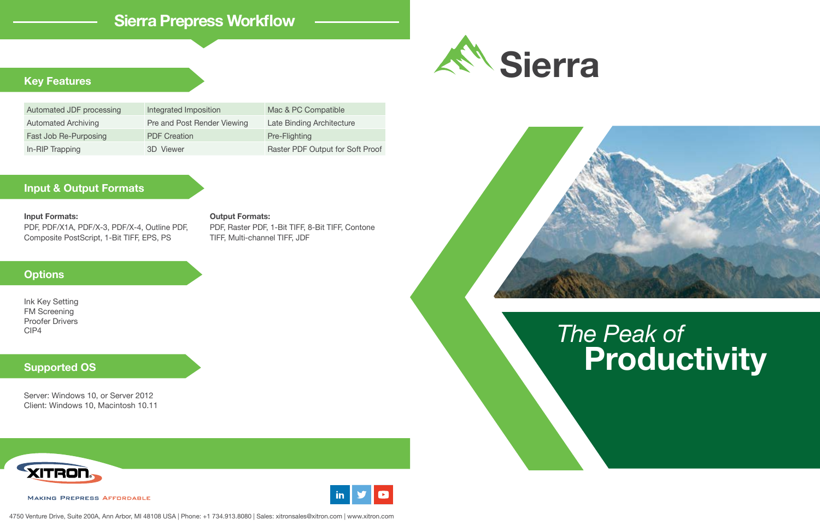## *The Peak of* **Productivity**

## **Sierra Prepress Workflow**

## **Input & Output Formats**



## **Options**

### **Supported OS**

## **Key Features**





Ink Key Setting FM Screening Proofer Drivers CIP4

#### **Input Formats:**

PDF, PDF/X1A, PDF/X-3, PDF/X-4, Outline PDF, Composite PostScript, 1-Bit TIFF, EPS, PS

Server: Windows 10, or Server 2012 Client: Windows 10, Macintosh 10.11







| Integrated Imposition       | Mac & PC Compatible              |
|-----------------------------|----------------------------------|
| Pre and Post Render Viewing | Late Binding Architecture        |
| <b>PDF Creation</b>         | Pre-Flighting                    |
| 3D Viewer                   | Raster PDF Output for Soft Proof |
|                             |                                  |

#### **Output Formats:**

PDF, Raster PDF, 1-Bit TIFF, 8-Bit TIFF, Contone TIFF, Multi-channel TIFF, JDF